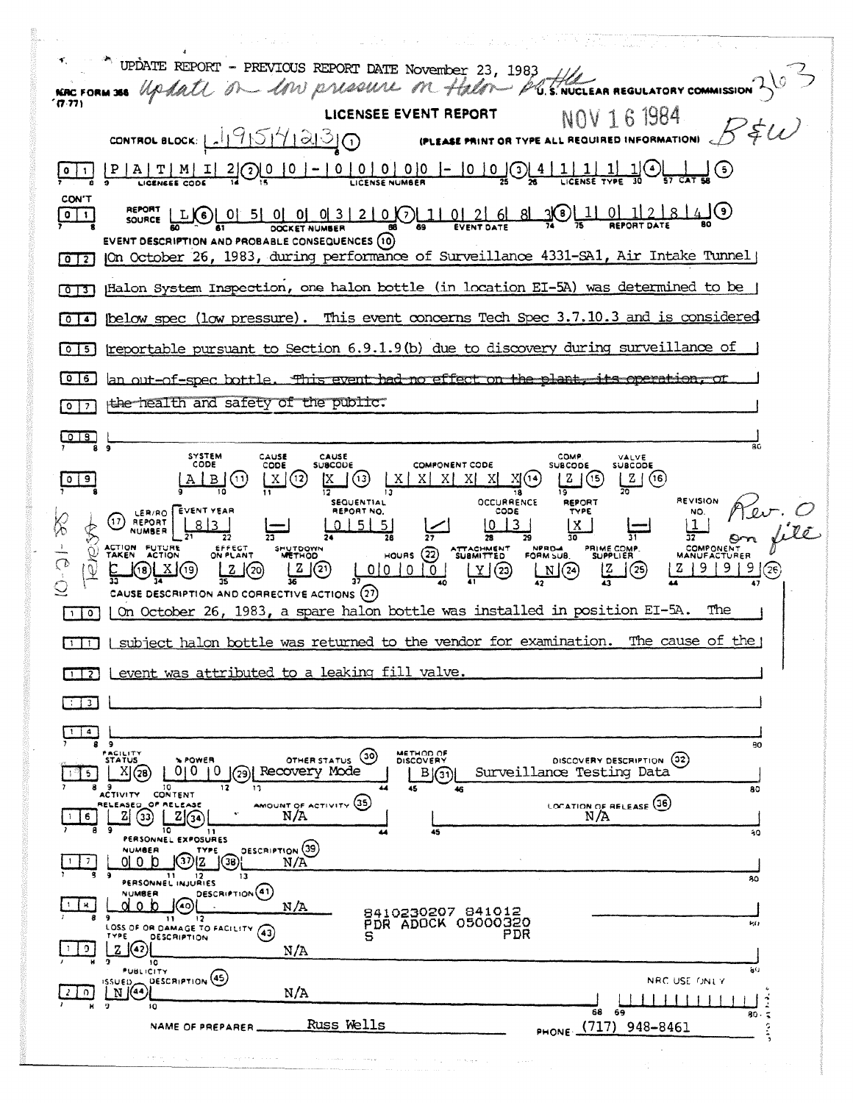| and the company of the decision of the state of the state of the state of the state of the state of the state of the state of the state of the state of the state of the state of the state of the state of the state of the s                                                                                                                                          |
|-------------------------------------------------------------------------------------------------------------------------------------------------------------------------------------------------------------------------------------------------------------------------------------------------------------------------------------------------------------------------|
| NE TO UPDATE REPORT - PREVIOUS REPORT DATE NOVEMBER 23, 1983                                                                                                                                                                                                                                                                                                            |
| ' (7.77)                                                                                                                                                                                                                                                                                                                                                                |
| LICENSEE EVENT REPORT<br>NOV 16 1984                                                                                                                                                                                                                                                                                                                                    |
| CONTROL BLOCK: 1-19151412130<br>(PLEASE PRINT OR TYPE ALL REQUIRED INFORMATION)                                                                                                                                                                                                                                                                                         |
| $\frac{P   A   T   M   I   2}{{\log n\epsilon\epsilon}}\frac{1}{\cos\epsilon} = \frac{2}{\epsilon} \left( \frac{O   O   O   0   - 10   O   O   O   0   - 10   O   O   0} \right) = \frac{1}{\epsilon} \left( \frac{O   O   O   0   - 10   O   O   0} \right) = \frac{1}{\epsilon} \left( \frac{O   O   O   0   - 10   O   O   0} \right) = \frac{1}{\epsilon}$<br>CON'T |
| $\frac{R}{1000}$<br>011<br>EVENT DESCRIPTION AND PROBABLE CONSEQUENCES (10)                                                                                                                                                                                                                                                                                             |
| JOn October 26, 1983, during performance of Surveillance 4331-SA1, Air Intake Tunnel<br>$0$ $12$                                                                                                                                                                                                                                                                        |
| Halon System Inspection, one halon bottle (in location EI-5A) was determined to be<br>$\sqrt{2}$                                                                                                                                                                                                                                                                        |
| below spec (low pressure). This event concerns Tech Spec 3.7.10.3 and is considered<br>  0   4                                                                                                                                                                                                                                                                          |
| reportable pursuant to Section 6.9.1.9(b) due to discovery during surveillance of<br>051                                                                                                                                                                                                                                                                                |
| an out-of-spec bottle. This event had no effect on the plant, its operation, or<br> 0 6                                                                                                                                                                                                                                                                                 |
| the health and safety of the public.<br>0 I<br>$\overline{z}$                                                                                                                                                                                                                                                                                                           |
| $\overline{O}$ 18<br>$\overline{9}$<br>R٢                                                                                                                                                                                                                                                                                                                               |
| SYSTEM<br>CAUSE<br>CAUSE<br>COMP.<br>VALVE<br>CODE<br><b>SUBCODE</b><br><b>COMPONENT CODE</b><br>CODE<br><b>SUBCODE</b><br><b>SUBCODE</b><br>] (13)<br>Z   (16)<br>$\bigcirc$                                                                                                                                                                                           |
| <b>REVISION</b><br><b>OCCURRENCE</b><br>SEQUENTIAL<br><b>REPORT</b><br>$\underbrace{\frac{1}{32}}_{\text{GOM} \text{OMENEN}}$<br>LER/RO EVENT YEAR<br>REPORT NO.<br>CODE<br>TYPE<br>$(17)$ REPORT<br>$\frac{1}{21}813$<br> x  <br>0151<br>$\sqrt{5}$                                                                                                                    |
| ROSA<br>ACTION FUTURE<br>PRIME COMP.<br>SUPPLIER<br>EFFECT<br>NPRO-4<br>FORM SUB.<br>SHUTDOWN<br>ATTACHMENT<br>SUBMITTED<br>$HOWRS$ $(22)$<br>ON PLANT<br>$\overline{Q}$<br><b>METHOD</b><br>2   9   9   9   (26)<br>2(2)<br>1001010<br>(18) <b>[ X</b> ] (19)<br>2(20)<br>$\mathfrak{u}(\mathfrak{D})$<br>M(2)<br>ĻŽ<br>J (25)                                         |
| CAUSE DESCRIPTION AND CORRECTIVE ACTIONS (27)<br>On October 26, 1983, a spare halon bottle was installed in position EI-5A.<br>The<br>$\bullet$                                                                                                                                                                                                                         |
| I subject halon bottle was returned to the vendor for examination. The cause of the<br>$\blacksquare$                                                                                                                                                                                                                                                                   |
| event was attributed to a leaking fill valve.                                                                                                                                                                                                                                                                                                                           |
| $\mathbf{3}$                                                                                                                                                                                                                                                                                                                                                            |
|                                                                                                                                                                                                                                                                                                                                                                         |
| 80<br>FACILITY<br>METHOD OF<br>(၁၀)<br>DISCOVERY DESCRIPTION (32)<br><b><i>NPOWER</i></b><br>OTHER STATUS<br><b>STATUS</b><br>DISCOVERY                                                                                                                                                                                                                                 |
| Recovery Mode<br>0<br>Surveillance Testing Data<br>XI<br>в<br>(28<br>29<br>l(31<br>- 9<br>10 <sup>10</sup><br>8<br>12<br>13<br>45<br>44<br>80<br>46<br>ACTIVITY CONTENT                                                                                                                                                                                                 |
| AMOUNT OF ACTIVITY (35)<br>LOCATION OF RELEASE (36)<br>RELEASED_OF RELEASE<br>$\left( 33\right)$<br>$2\sqrt{34}$<br>N/A<br>N/A<br>6                                                                                                                                                                                                                                     |
| 10<br>45<br>11<br>80<br>PERSONNEL EXPOSURES<br><b>DESCRIPTION</b> (39)<br>NUMBER<br>TYPE                                                                                                                                                                                                                                                                                |
| 01 O N<br>(36)<br>N/A<br>٩<br>- 9<br>$\mathbf{11}$<br>12.<br>13<br>80                                                                                                                                                                                                                                                                                                   |
| PERSONNEL INJURIES<br>DESCRIPTION <sup>(41)</sup><br>NUMBER<br>u<br><sup>0</sup><br>N/A                                                                                                                                                                                                                                                                                 |
| 8410230207 841012<br>12<br>$\mathbf{H}$<br>PDR ADOCK 05000320<br>931<br>LOSS OF OR DAMAGE TO FACILITY (43)<br>PDR<br>s<br>TYPE<br><b>DESCRIPTION</b>                                                                                                                                                                                                                    |
| zΙ<br>(42)<br>N/A<br>10                                                                                                                                                                                                                                                                                                                                                 |
| aO<br><b>PUBLICITY</b><br>SSUED DESCRIPTION (45)<br>NRC USE ONLY<br>$N$ (44)<br>N/A<br>9.                                                                                                                                                                                                                                                                               |
| н.<br>10<br>68<br>69<br>80.<br>$\tilde{\bullet}$<br>Russ Wells<br>948-8461<br>c,<br>(717)<br>NAME OF PREPARER.<br><b>PHONE</b>                                                                                                                                                                                                                                          |
| the control of the control of the control of the<br>the Appearance of<br>complete and                                                                                                                                                                                                                                                                                   |
| $\sim 100$<br>the company                                                                                                                                                                                                                                                                                                                                               |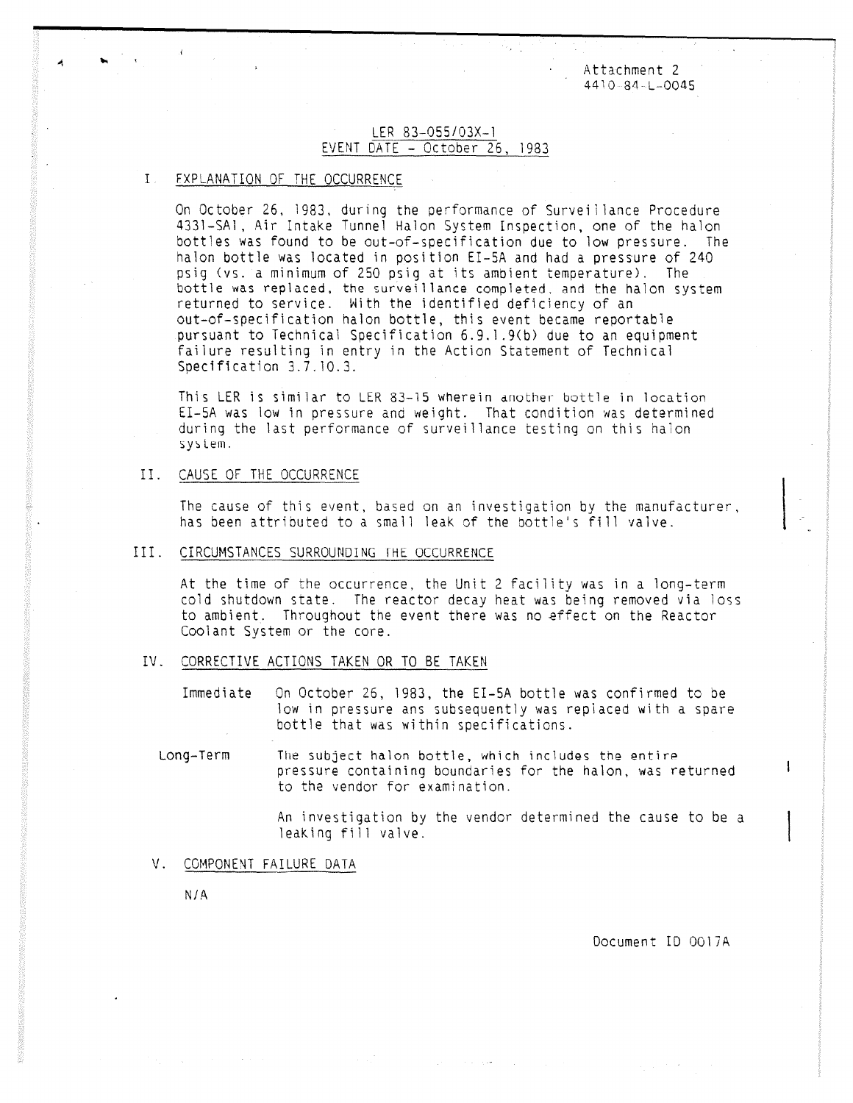Attachment 2 4410 84-L-0045

## LER 83-055/03X-1 EVENT DATE - October 26, 1983

# FXPLANATION OF THE OCCURRENCE

On October 26, 1983, during the performance of Surveillance Procedure 4331-SA1, Air Intake Tunnel Halon System Inspection, one of the halon bottles was found to be out-of-specification due to low pressure. The halon bottle was located in position EI-5A and had a pressure of 240 psig (vs. a minimum of 250 psig at its ambient temperature). The bottle was replaced, the surveillance completed, and the halon system returned to service. With the identified deficiency of an out-of-specification halon bottle, this event became reportable pursuant to Technical Specification 6.9.1.9(b) due to an equipment failure resulting in entry in the Action Statement of Technical Specification 3.7.10.3.

This LER is similar to LER 83-15 wherein another bottle in location EI-5A was low in pressure and weight. That condition was determined during the last performance of surveillance testing on this halon sylem.

#### II. CAUSE OF THE OCCURRENCE

The cause of this event, based on an investigation by the manufacturer, has been attributed to a small leak of the bottle's fill valve.

#### III. CIRCUMSTANCES SURROUNDING THE OCCURRENCE

At the time of the occurrence, the Unit 2 facility was in a long-term cold shutdown state. The reactor decay heat was being removed via loss to ambient. Throughout the event there was no effect on the Reactor Coolant System or the core.

### IV. CORRECTIVE ACTIONS TAKEN OR TO BE TAKEN

Immediate On October 26, 1983, the EI-5A bottle was confirmed to be low in pressure ans subsequently was replaced with a spare bottle that was within specifications.

Long-Term The subject halon bottle, which includes the entire pressure containing boundaries for the halon, was returned to the vendor for examination.

> An investigation by the vendor determined the cause to be a leaking fill valve.

### V. COMPONENT FAILURE DATA

N/A

Document ID 0017A

4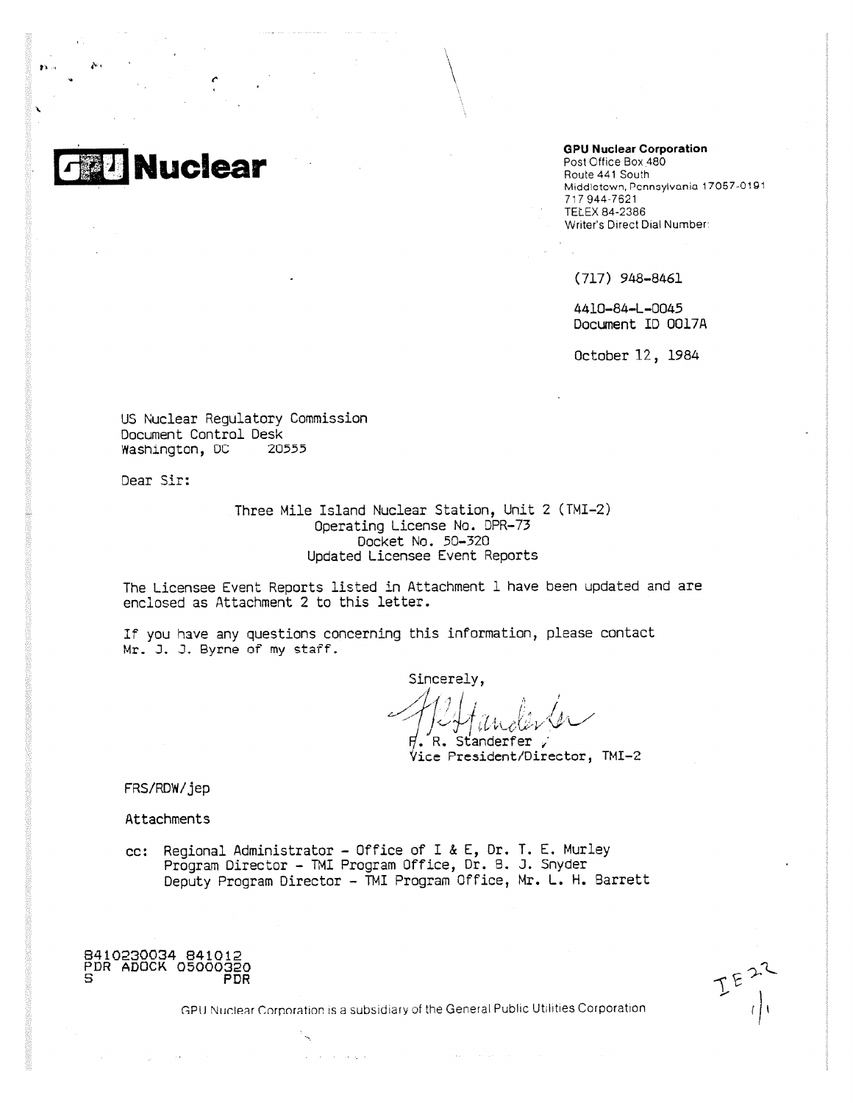

v.

 $\sim$ 

#### **GPU Nuclear Corporation**

Post Office Box 480 Route 441 South Middlctown, Ponnaylvania 17067-0181 717 944-7621 TELEX 84-2386 Writer's Direct Dial Number:

(717) 948-8461

4410-84-L-0045 Document ID 0017A

October 12, 1984

US Nuclear Regulatory Commission Document Control Desk Washington, DC 20555

Dear Sir:

Three Mile Island Nuclear Station, Unit 2 (TMI-2) Operating License No. DPR-73 Docket No. 50-320 Updated Licensee Event Reports

The Licensee Event Reports listed in Attachment I have been updated and are enclosed as Attachment 2 to this letter.

If you have any questions concerning this information, please contact Mr. J. J. Byrne of my staff.

Sincerely, ithe

R. Standerfer, Vice President/Director, TMI-2

FRS/RDW/jep

Attachments

cc: Regional Administrator - Office of I & E, Dr, T. E. Murley Program Director - TMI Program Office, Dr. B. J. Snyder Deputy Program Director - TMI Program Office, Mr. L. H. Barrett



GPU Nuclear Corporation is a subsidiary of the General Public Utilities Corporation